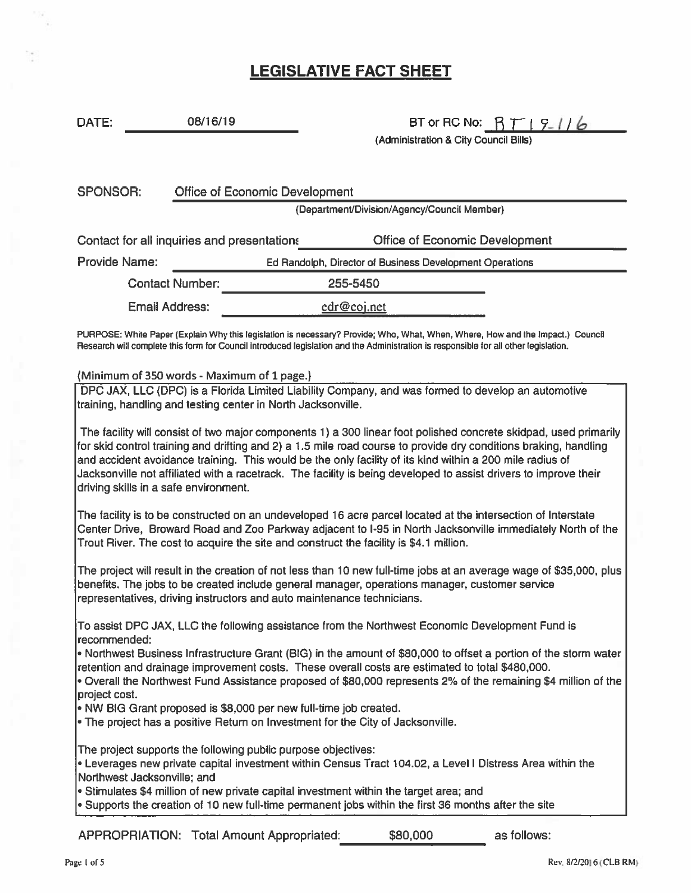# LEGISLATIVE FACT SHEET

# DATE: 08/16/19 BT or RC No:  $\beta T \mid 9$  // *b*

(Administration & City Council Bills)

| SPONSOR:                                    | <b>Office of Economic Development</b> |          |                                                          |  |  |
|---------------------------------------------|---------------------------------------|----------|----------------------------------------------------------|--|--|
| (Department/Division/Agency/Council Member) |                                       |          |                                                          |  |  |
| Contact for all inquiries and presentations |                                       |          | <b>Office of Economic Development</b>                    |  |  |
| <b>Provide Name:</b>                        |                                       |          | Ed Randolph, Director of Business Development Operations |  |  |
| <b>Contact Number:</b>                      |                                       | 255-5450 |                                                          |  |  |
|                                             | Email Address:                        |          | edr@coj.net                                              |  |  |

PURPOSE: White Paper {Explain Why this legislation is necessary? Provide; Who, What, When, Where, How and the Impact.) Council Research will complete this form for Council introduced legislation and the Administration is responsible for all other legislation.

#### (Minimum of350 words - Maximum of 1 page.)

DPC JAX, LLC (DPC) is <sup>a</sup> Florida Limited Liability Company, and was formed to develop an automotive training, handling and testing center in North Jacksonville.

The facility will consist of two major components 1) a 300 linear foot polished concrete skidpad, used primarily for skid control training and drifting and 2) <sup>a</sup> 1.5 mile road course to provide dry conditions braking, handling and accident avoidance training. This would be the only facility of its kind within <sup>a</sup> 200 mile radius of Jacksonville not affiliated with <sup>a</sup> racetrack. The facility is being developed to assist drivers to improve their driving skills in <sup>a</sup> safe environment.

The facility is to be constructed on an undeveloped 16 acre parcel located at the intersection of Interstate Center Drive, Broward Road and Zoo Parkway adjacent to 1-95 in North Jacksonville immediately North of the Trout River. The cost to acquire the site and construct the facility is \$4.1 million.

The project will result in the creation of not less than 10 new full-time jobs at an average wage of \$35,000, plus benefits. The jobs to be created include general manager, operations manager, customer service representatives, driving instructors and auto maintenance technicians.

To assist DPC JAX, LLC the following assistance from the Northwest Economic Development Fund is recommended:

• Northwest Business Infrastructure Grant (BIG) in the amount of \$80,000 to offset <sup>a</sup> portion of the storm water retention and drainage improvement costs. These overall costs are estimated to total \$480,000.

• Overall the Northwest Fund Assistance proposed of \$80,000 represents 2% of the remaining \$4 million of the project cost.

• NW BIG Grant proposed is \$8,000 per new full-time job created.

• The project has <sup>a</sup> positive Return on Investment for the City of Jacksonville.

The project supports the following public purpose objectives:

• Leverages new private capital investment within Census Tract 104.02, <sup>a</sup> Level I Distress Area within the Northwest Jacksonville; and

• Stimulates \$4 million of new private capital investment within the target area; and

• Supports the creation of 10 new full-time permanent jobs within the first 36 months after the site

APPROPRIATION: Total Amount Appropriated: \$80,000 as follows: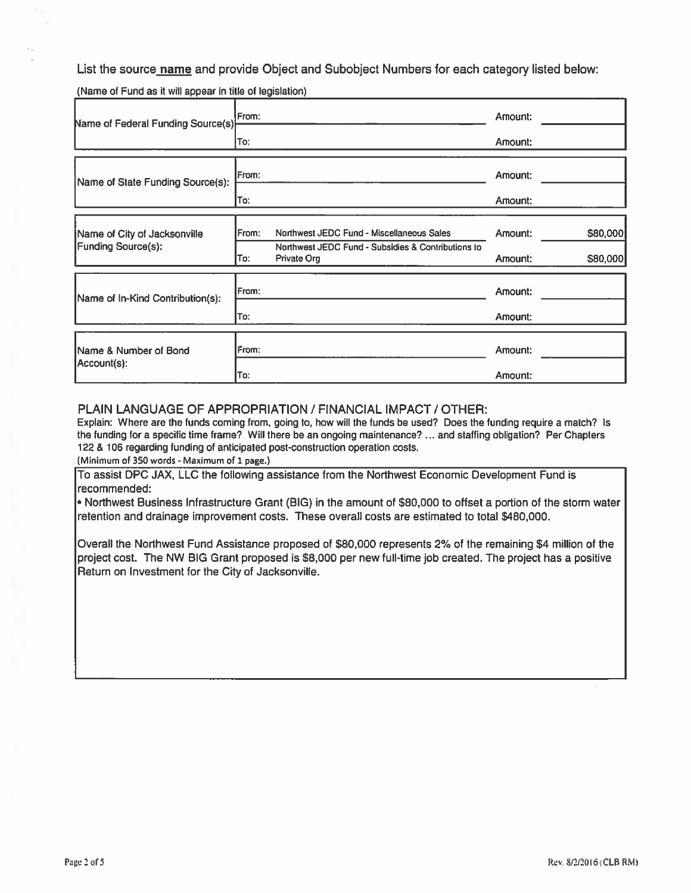List the source **name** and provide Object and Subobject Numbers for each category listed below:

(Name of Fund as it will appear in title of legislation)\_\_\_\_\_\_\_\_\_\_\_\_\_\_\_\_\_\_\_\_\_\_\_\_\_\_\_\_\_\_\_\_\_\_\_\_\_\_\_\_\_\_\_\_\_\_

| Name of Federal Funding Source(s)                         | From:                                                                                                    | Amount: |          |
|-----------------------------------------------------------|----------------------------------------------------------------------------------------------------------|---------|----------|
|                                                           | To:                                                                                                      | Amount: |          |
| Name of State Funding Source(s):                          | IFrom:                                                                                                   | Amount: |          |
|                                                           | To:                                                                                                      | Amount: |          |
| Name of City of Jacksonville<br><b>Funding Source(s):</b> | From:<br>Northwest JEDC Fund - Miscellaneous Sales<br>Northwest JEDC Fund - Subsidies & Contributions to | Amount: | \$80,000 |
|                                                           | To:<br>Private Org                                                                                       | Amount: | \$80,000 |
| Name of In-Kind Contribution(s):                          | From:                                                                                                    | Amount: |          |
|                                                           | To:                                                                                                      | Amount: |          |
| Name & Number of Bond<br> Account(s):                     | From:                                                                                                    | Amount: |          |
|                                                           | To:                                                                                                      | Amount: |          |

#### PLAIN LANGUAGE OF APPROPRIATION / FINANCIAL IMPACT / OTHER:

Explain: Where are the funds coming from, going to, how will the funds be used? Does the funding require <sup>a</sup> match? Is the funding for <sup>a</sup> specific time frame? Will there be an ongoing maintenance? ... and staffing obligation? Per Chapters 122 & 106 regarding funding of anticipated post-construction operation costs.

(Minimum of 350 words - Maximum of 1 page.)

To assist DPC JAX, LLC the following assistance from the Northwest Economic Development Fund is recommended:

■ Northwest Business Infrastructure Grant (BIG) in the amount of \$80,000 to offset <sup>a</sup> portion of the storm water retention and drainage improvement costs. These overall costs are estimated to total \$480,000.

Overall the Northwest Fund Assistance proposed of \$80,000 represents 2% of the remaining \$4 million of the project cost. The NW BIG Grant proposed is \$8,000 per new full-time job created. The project has <sup>a</sup> positive Return on Investment for the City of Jacksonville.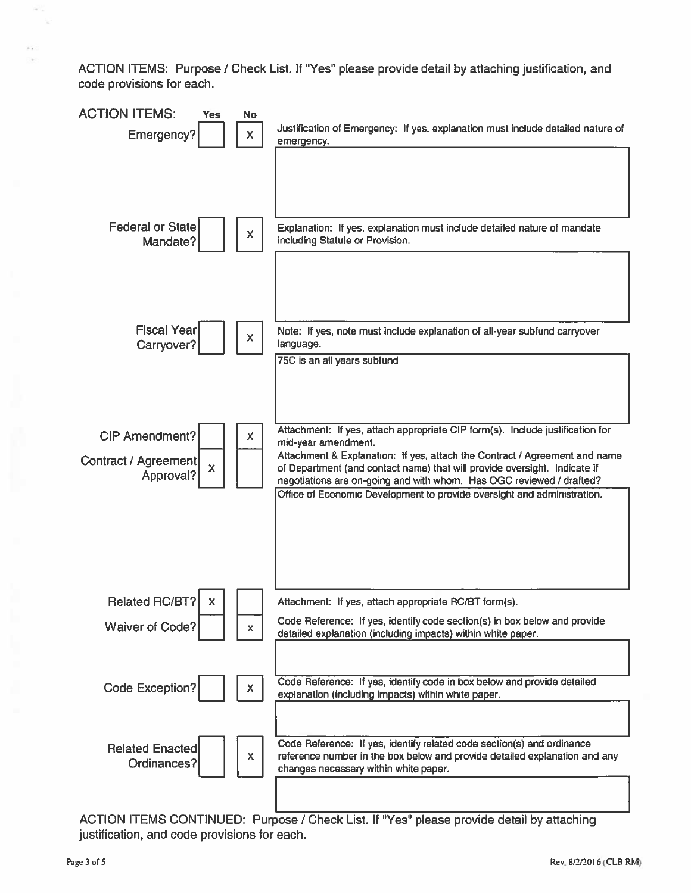ACTION ITEMS: Purpose / Check List. If "Yes" please provide detail by attaching justification, and code provisions for each.



ACTION ITEMS CONTINUED: Purpose / Check List. If "Yes" please provide detail by attaching justification, and code provisions for each.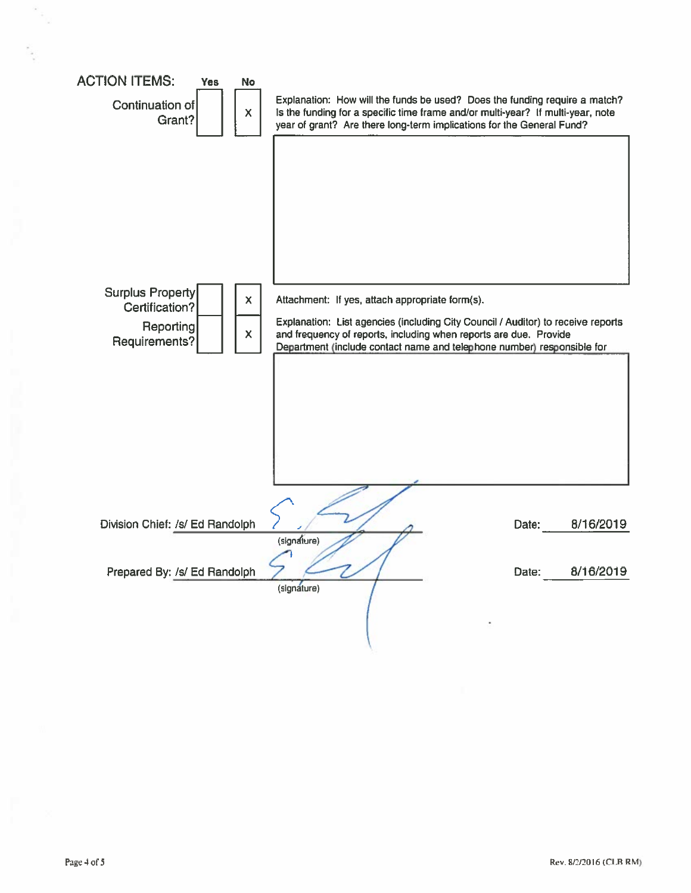